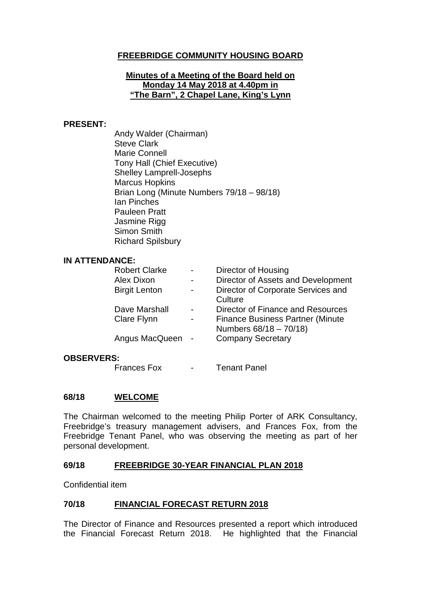## **FREEBRIDGE COMMUNITY HOUSING BOARD**

### **Minutes of a Meeting of the Board held on Monday 14 May 2018 at 4.40pm in "The Barn", 2 Chapel Lane, King's Lynn**

### **PRESENT:**

Andy Walder (Chairman) Steve Clark Marie Connell Tony Hall (Chief Executive) Shelley Lamprell-Josephs Marcus Hopkins Brian Long (Minute Numbers 79/18 – 98/18) Ian Pinches Pauleen Pratt Jasmine Rigg Simon Smith Richard Spilsbury

### **IN ATTENDANCE:**

| <b>Robert Clarke</b> | Director of Housing                     |
|----------------------|-----------------------------------------|
| Alex Dixon           | Director of Assets and Development      |
| <b>Birgit Lenton</b> | Director of Corporate Services and      |
|                      | Culture                                 |
| Dave Marshall        | Director of Finance and Resources       |
| Clare Flynn          | <b>Finance Business Partner (Minute</b> |
|                      | Numbers 68/18 - 70/18)                  |
| Angus MacQueen -     | <b>Company Secretary</b>                |
|                      |                                         |

### **OBSERVERS:**

Frances Fox - Tenant Panel

### **68/18 WELCOME**

The Chairman welcomed to the meeting Philip Porter of ARK Consultancy, Freebridge's treasury management advisers, and Frances Fox, from the Freebridge Tenant Panel, who was observing the meeting as part of her personal development.

### **69/18 FREEBRIDGE 30-YEAR FINANCIAL PLAN 2018**

Confidential item

### **70/18 FINANCIAL FORECAST RETURN 2018**

The Director of Finance and Resources presented a report which introduced the Financial Forecast Return 2018. He highlighted that the Financial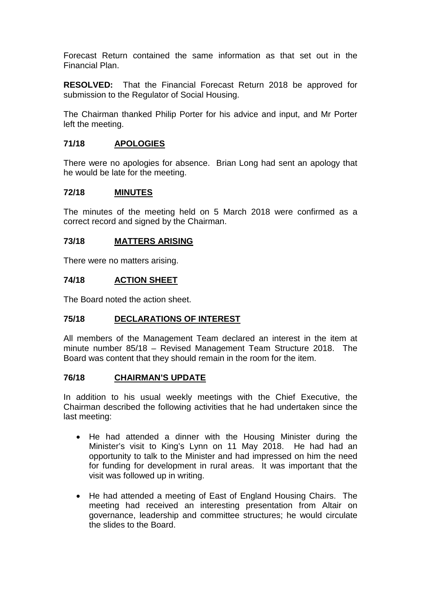Forecast Return contained the same information as that set out in the Financial Plan.

**RESOLVED:** That the Financial Forecast Return 2018 be approved for submission to the Regulator of Social Housing.

The Chairman thanked Philip Porter for his advice and input, and Mr Porter left the meeting.

## **71/18 APOLOGIES**

There were no apologies for absence. Brian Long had sent an apology that he would be late for the meeting.

### **72/18 MINUTES**

The minutes of the meeting held on 5 March 2018 were confirmed as a correct record and signed by the Chairman.

### **73/18 MATTERS ARISING**

There were no matters arising.

### **74/18 ACTION SHEET**

The Board noted the action sheet.

### **75/18 DECLARATIONS OF INTEREST**

All members of the Management Team declared an interest in the item at minute number 85/18 – Revised Management Team Structure 2018. The Board was content that they should remain in the room for the item.

#### **76/18 CHAIRMAN'S UPDATE**

In addition to his usual weekly meetings with the Chief Executive, the Chairman described the following activities that he had undertaken since the last meeting:

- He had attended a dinner with the Housing Minister during the Minister's visit to King's Lynn on 11 May 2018. He had had an opportunity to talk to the Minister and had impressed on him the need for funding for development in rural areas. It was important that the visit was followed up in writing.
- He had attended a meeting of East of England Housing Chairs. The meeting had received an interesting presentation from Altair on governance, leadership and committee structures; he would circulate the slides to the Board.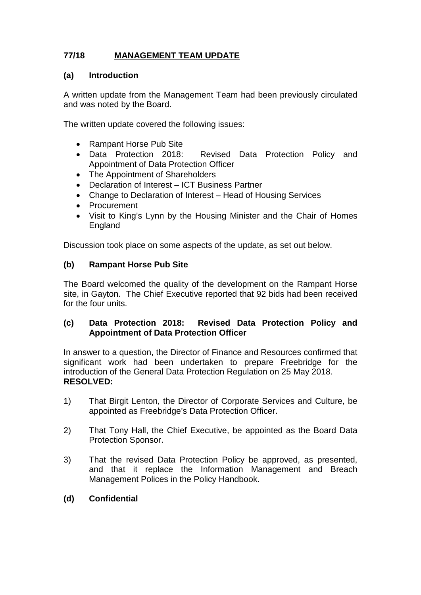# **77/18 MANAGEMENT TEAM UPDATE**

## **(a) Introduction**

A written update from the Management Team had been previously circulated and was noted by the Board.

The written update covered the following issues:

- Rampant Horse Pub Site
- Data Protection 2018: Revised Data Protection Policy and Appointment of Data Protection Officer
- The Appointment of Shareholders
- Declaration of Interest ICT Business Partner
- Change to Declaration of Interest Head of Housing Services
- Procurement
- Visit to King's Lynn by the Housing Minister and the Chair of Homes England

Discussion took place on some aspects of the update, as set out below.

## **(b) Rampant Horse Pub Site**

The Board welcomed the quality of the development on the Rampant Horse site, in Gayton. The Chief Executive reported that 92 bids had been received for the four units.

## **(c) Data Protection 2018: Revised Data Protection Policy and Appointment of Data Protection Officer**

In answer to a question, the Director of Finance and Resources confirmed that significant work had been undertaken to prepare Freebridge for the introduction of the General Data Protection Regulation on 25 May 2018. **RESOLVED:** 

- 1) That Birgit Lenton, the Director of Corporate Services and Culture, be appointed as Freebridge's Data Protection Officer.
- 2) That Tony Hall, the Chief Executive, be appointed as the Board Data Protection Sponsor.
- 3) That the revised Data Protection Policy be approved, as presented, and that it replace the Information Management and Breach Management Polices in the Policy Handbook.
- **(d) Confidential**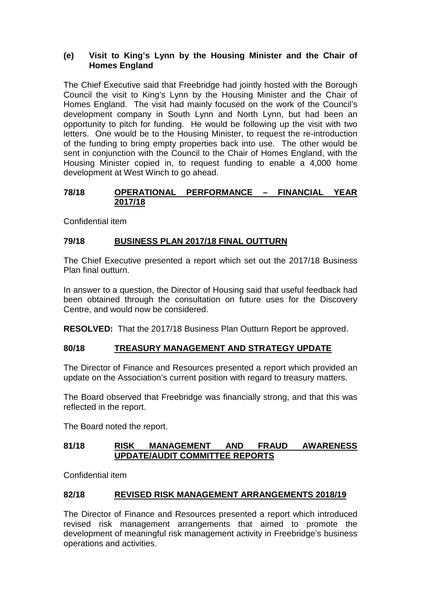### **(e) Visit to King's Lynn by the Housing Minister and the Chair of Homes England**

The Chief Executive said that Freebridge had jointly hosted with the Borough Council the visit to King's Lynn by the Housing Minister and the Chair of Homes England. The visit had mainly focused on the work of the Council's development company in South Lynn and North Lynn, but had been an opportunity to pitch for funding. He would be following up the visit with two letters. One would be to the Housing Minister, to request the re-introduction of the funding to bring empty properties back into use. The other would be sent in conjunction with the Council to the Chair of Homes England, with the Housing Minister copied in, to request funding to enable a 4,000 home development at West Winch to go ahead.

## **78/18 OPERATIONAL PERFORMANCE – FINANCIAL YEAR 2017/18**

Confidential item

## **79/18 BUSINESS PLAN 2017/18 FINAL OUTTURN**

The Chief Executive presented a report which set out the 2017/18 Business Plan final outturn.

In answer to a question, the Director of Housing said that useful feedback had been obtained through the consultation on future uses for the Discovery Centre, and would now be considered.

**RESOLVED:** That the 2017/18 Business Plan Outturn Report be approved.

## **80/18 TREASURY MANAGEMENT AND STRATEGY UPDATE**

The Director of Finance and Resources presented a report which provided an update on the Association's current position with regard to treasury matters.

The Board observed that Freebridge was financially strong, and that this was reflected in the report.

The Board noted the report.

### **81/18 RISK MANAGEMENT AND FRAUD AWARENESS UPDATE/AUDIT COMMITTEE REPORTS**

Confidential item

### **82/18 REVISED RISK MANAGEMENT ARRANGEMENTS 2018/19**

The Director of Finance and Resources presented a report which introduced revised risk management arrangements that aimed to promote the development of meaningful risk management activity in Freebridge's business operations and activities.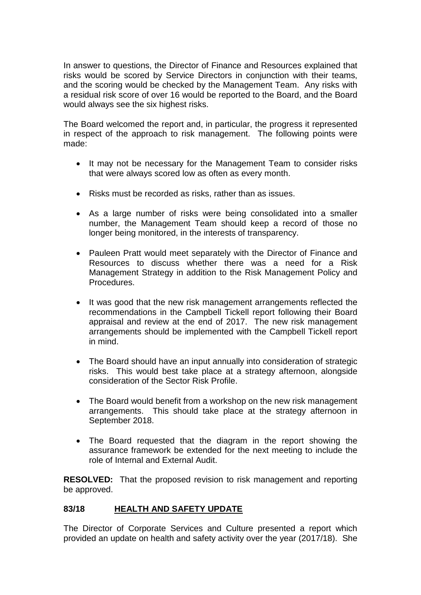In answer to questions, the Director of Finance and Resources explained that risks would be scored by Service Directors in conjunction with their teams, and the scoring would be checked by the Management Team. Any risks with a residual risk score of over 16 would be reported to the Board, and the Board would always see the six highest risks.

The Board welcomed the report and, in particular, the progress it represented in respect of the approach to risk management. The following points were made:

- It may not be necessary for the Management Team to consider risks that were always scored low as often as every month.
- Risks must be recorded as risks, rather than as issues.
- As a large number of risks were being consolidated into a smaller number, the Management Team should keep a record of those no longer being monitored, in the interests of transparency.
- Pauleen Pratt would meet separately with the Director of Finance and Resources to discuss whether there was a need for a Risk Management Strategy in addition to the Risk Management Policy and **Procedures**
- It was good that the new risk management arrangements reflected the recommendations in the Campbell Tickell report following their Board appraisal and review at the end of 2017. The new risk management arrangements should be implemented with the Campbell Tickell report in mind.
- The Board should have an input annually into consideration of strategic risks. This would best take place at a strategy afternoon, alongside consideration of the Sector Risk Profile.
- The Board would benefit from a workshop on the new risk management arrangements. This should take place at the strategy afternoon in September 2018.
- The Board requested that the diagram in the report showing the assurance framework be extended for the next meeting to include the role of Internal and External Audit.

**RESOLVED:** That the proposed revision to risk management and reporting be approved.

## **83/18 HEALTH AND SAFETY UPDATE**

The Director of Corporate Services and Culture presented a report which provided an update on health and safety activity over the year (2017/18). She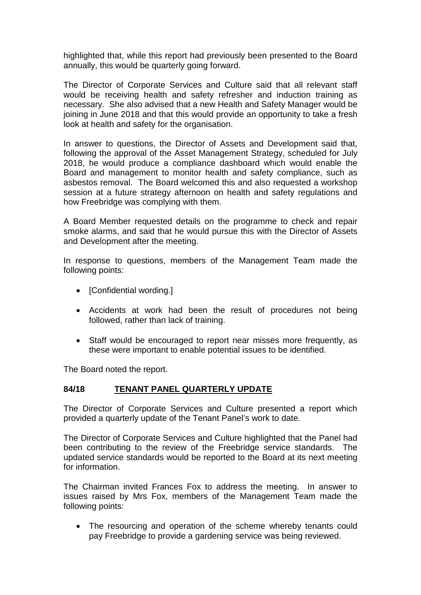highlighted that, while this report had previously been presented to the Board annually, this would be quarterly going forward.

The Director of Corporate Services and Culture said that all relevant staff would be receiving health and safety refresher and induction training as necessary. She also advised that a new Health and Safety Manager would be joining in June 2018 and that this would provide an opportunity to take a fresh look at health and safety for the organisation.

In answer to questions, the Director of Assets and Development said that, following the approval of the Asset Management Strategy, scheduled for July 2018, he would produce a compliance dashboard which would enable the Board and management to monitor health and safety compliance, such as asbestos removal. The Board welcomed this and also requested a workshop session at a future strategy afternoon on health and safety regulations and how Freebridge was complying with them.

A Board Member requested details on the programme to check and repair smoke alarms, and said that he would pursue this with the Director of Assets and Development after the meeting.

In response to questions, members of the Management Team made the following points:

- [Confidential wording.]
- Accidents at work had been the result of procedures not being followed, rather than lack of training.
- Staff would be encouraged to report near misses more frequently, as these were important to enable potential issues to be identified.

The Board noted the report.

### **84/18 TENANT PANEL QUARTERLY UPDATE**

The Director of Corporate Services and Culture presented a report which provided a quarterly update of the Tenant Panel's work to date.

The Director of Corporate Services and Culture highlighted that the Panel had been contributing to the review of the Freebridge service standards. The updated service standards would be reported to the Board at its next meeting for information.

The Chairman invited Frances Fox to address the meeting. In answer to issues raised by Mrs Fox, members of the Management Team made the following points:

• The resourcing and operation of the scheme whereby tenants could pay Freebridge to provide a gardening service was being reviewed.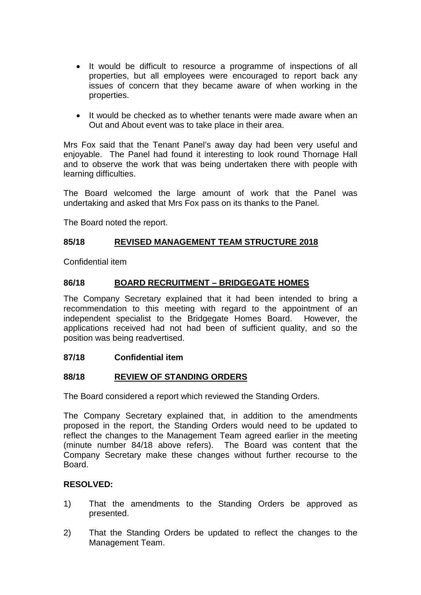- It would be difficult to resource a programme of inspections of all properties, but all employees were encouraged to report back any issues of concern that they became aware of when working in the properties.
- It would be checked as to whether tenants were made aware when an Out and About event was to take place in their area.

Mrs Fox said that the Tenant Panel's away day had been very useful and enjoyable. The Panel had found it interesting to look round Thornage Hall and to observe the work that was being undertaken there with people with learning difficulties.

The Board welcomed the large amount of work that the Panel was undertaking and asked that Mrs Fox pass on its thanks to the Panel.

The Board noted the report.

### **85/18 REVISED MANAGEMENT TEAM STRUCTURE 2018**

Confidential item

### **86/18 BOARD RECRUITMENT – BRIDGEGATE HOMES**

The Company Secretary explained that it had been intended to bring a recommendation to this meeting with regard to the appointment of an independent specialist to the Bridgegate Homes Board. However, the applications received had not had been of sufficient quality, and so the position was being readvertised.

#### **87/18 Confidential item**

### **88/18 REVIEW OF STANDING ORDERS**

The Board considered a report which reviewed the Standing Orders.

The Company Secretary explained that, in addition to the amendments proposed in the report, the Standing Orders would need to be updated to reflect the changes to the Management Team agreed earlier in the meeting (minute number 84/18 above refers). The Board was content that the Company Secretary make these changes without further recourse to the Board.

### **RESOLVED:**

- 1) That the amendments to the Standing Orders be approved as presented.
- 2) That the Standing Orders be updated to reflect the changes to the Management Team.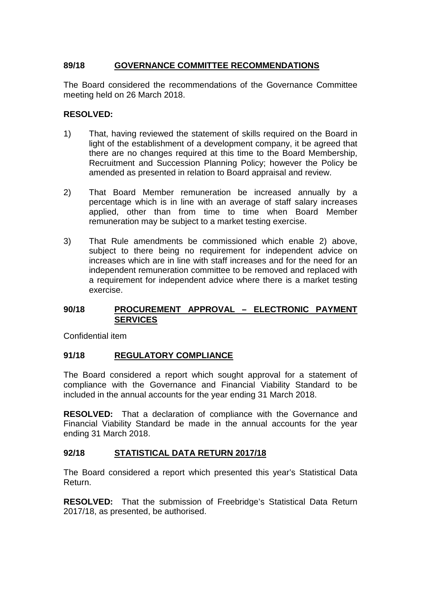## **89/18 GOVERNANCE COMMITTEE RECOMMENDATIONS**

The Board considered the recommendations of the Governance Committee meeting held on 26 March 2018.

### **RESOLVED:**

- 1) That, having reviewed the statement of skills required on the Board in light of the establishment of a development company, it be agreed that there are no changes required at this time to the Board Membership, Recruitment and Succession Planning Policy; however the Policy be amended as presented in relation to Board appraisal and review.
- 2) That Board Member remuneration be increased annually by a percentage which is in line with an average of staff salary increases applied, other than from time to time when Board Member remuneration may be subject to a market testing exercise.
- 3) That Rule amendments be commissioned which enable 2) above, subject to there being no requirement for independent advice on increases which are in line with staff increases and for the need for an independent remuneration committee to be removed and replaced with a requirement for independent advice where there is a market testing exercise.

### **90/18 PROCUREMENT APPROVAL – ELECTRONIC PAYMENT SERVICES**

Confidential item

### **91/18 REGULATORY COMPLIANCE**

The Board considered a report which sought approval for a statement of compliance with the Governance and Financial Viability Standard to be included in the annual accounts for the year ending 31 March 2018.

**RESOLVED:** That a declaration of compliance with the Governance and Financial Viability Standard be made in the annual accounts for the year ending 31 March 2018.

### **92/18 STATISTICAL DATA RETURN 2017/18**

The Board considered a report which presented this year's Statistical Data Return.

**RESOLVED:** That the submission of Freebridge's Statistical Data Return 2017/18, as presented, be authorised.